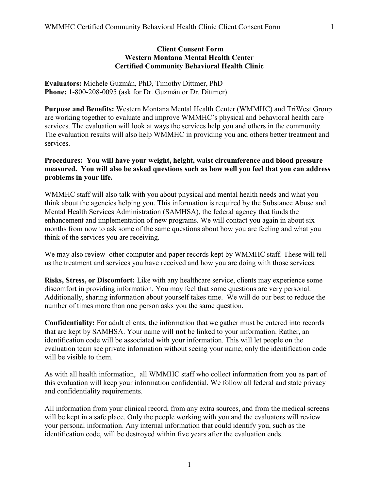## Client Consent Form Western Montana Mental Health Center Certified Community Behavioral Health Clinic

Evaluators: Michele Guzmán, PhD, Timothy Dittmer, PhD Phone: 1-800-208-0095 (ask for Dr. Guzmán or Dr. Dittmer)

Purpose and Benefits: Western Montana Mental Health Center (WMMHC) and TriWest Group are working together to evaluate and improve WMMHC's physical and behavioral health care services. The evaluation will look at ways the services help you and others in the community. The evaluation results will also help WMMHC in providing you and others better treatment and services.

## Procedures: You will have your weight, height, waist circumference and blood pressure measured. You will also be asked questions such as how well you feel that you can address problems in your life.

WMMHC staff will also talk with you about physical and mental health needs and what you think about the agencies helping you. This information is required by the Substance Abuse and Mental Health Services Administration (SAMHSA), the federal agency that funds the enhancement and implementation of new programs. We will contact you again in about six months from now to ask some of the same questions about how you are feeling and what you think of the services you are receiving.

We may also review -other computer and paper records kept by WMMHC staff. These will tell us the treatment and services you have received and how you are doing with those services.

Risks, Stress, or Discomfort: Like with any healthcare service, clients may experience some discomfort in providing information. You may feel that some questions are very personal. Additionally, sharing information about yourself takes time. We will do our best to reduce the number of times more than one person asks you the same question.

Confidentiality: For adult clients, the information that we gather must be entered into records that are kept by SAMHSA. Your name will not be linked to your information. Rather, an identification code will be associated with your information. This will let people on the evaluation team see private information without seeing your name; only the identification code will be visible to them.

As with all health information, all WMMHC staff who collect information from you as part of this evaluation will keep your information confidential. We follow all federal and state privacy and confidentiality requirements.

All information from your clinical record, from any extra sources, and from the medical screens will be kept in a safe place. Only the people working with you and the evaluators will review your personal information. Any internal information that could identify you, such as the identification code, will be destroyed within five years after the evaluation ends.